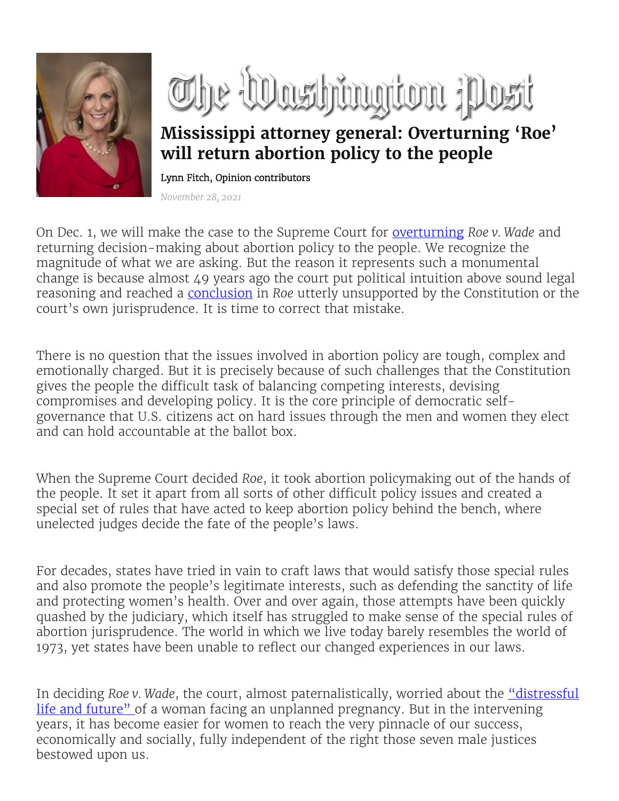

The Washington post

## **Mississippi attorney general: Overturning 'Roe' will return abortion policy to the people**

Lynn Fitch, Opinion contributors

*November 28, 2021*

On Dec. 1, we will make the case to the Supreme Court for [overturning](https://www.washingtonpost.com/politics/courts_law/mississippi-abortion-supreme-court-roe-v-wade/2021/07/22/9b30cb8a-eb23-11eb-97a0-a09d10181e36_story.html?itid=lk_inline_manual_3) *Roe v. Wade* and returning decision-making about abortion policy to the people. We recognize the magnitude of what we are asking. But the reason it represents such a monumental change is because almost 49 years ago the court put political intuition above sound legal reasoning and reached a [conclusion](https://linkprotect.cudasvc.com/url?a=https%3a%2f%2fwww.oyez.org%2fcases%2f1971%2f70-18&c=E,1,hKBHMxIL8_2egZlVhFEafyHyLyMW1YLlCRQmNwhqEkPwnn-R5VCdQGr249x1MMnkA_FgcIgXSiDBhmGNXtQJtGgWsa93ObK0Vu0nWzW5wa1tnpVfwzQ,&typo=1) in *Roe* utterly unsupported by the Constitution or the court's own jurisprudence. It is time to correct that mistake.

There is no question that the issues involved in abortion policy are tough, complex and emotionally charged. But it is precisely because of such challenges that the Constitution gives the people the difficult task of balancing competing interests, devising compromises and developing policy. It is the core principle of democratic selfgovernance that U.S. citizens act on hard issues through the men and women they elect and can hold accountable at the ballot box.

When the Supreme Court decided *Roe*, it took abortion policymaking out of the hands of the people. It set it apart from all sorts of other difficult policy issues and created a special set of rules that have acted to keep abortion policy behind the bench, where unelected judges decide the fate of the people's laws.

For decades, states have tried in vain to craft laws that would satisfy those special rules and also promote the people's legitimate interests, such as defending the sanctity of life and protecting women's health. Over and over again, those attempts have been quickly quashed by the judiciary, which itself has struggled to make sense of the special rules of abortion jurisprudence. The world in which we live today barely resembles the world of 1973, yet states have been unable to reflect our changed experiences in our laws.

In deciding *Roe v. Wade*, the court, almost paternalistically, worried about the "distressful [life and future" o](https://linkprotect.cudasvc.com/url?a=http%3a%2f%2flaw2.umkc.edu%2ffaculty%2fprojects%2fftrials%2fconlaw%2froe.html&c=E,1,ggTOBzaCKQvVTGRRj3de1yZYORVGw50DGgBaqIsCeNXZayrVVMprr83oWvnuEALVHMvwPMe8-TJmjKxnht4qjUkmeSoehoTkqRYiJUyLNqWXzRmvoGcTCYpjEsS7&typo=1)f a woman facing an unplanned pregnancy. But in the intervening years, it has become easier for women to reach the very pinnacle of our success, economically and socially, fully independent of the right those seven male justices bestowed upon us.